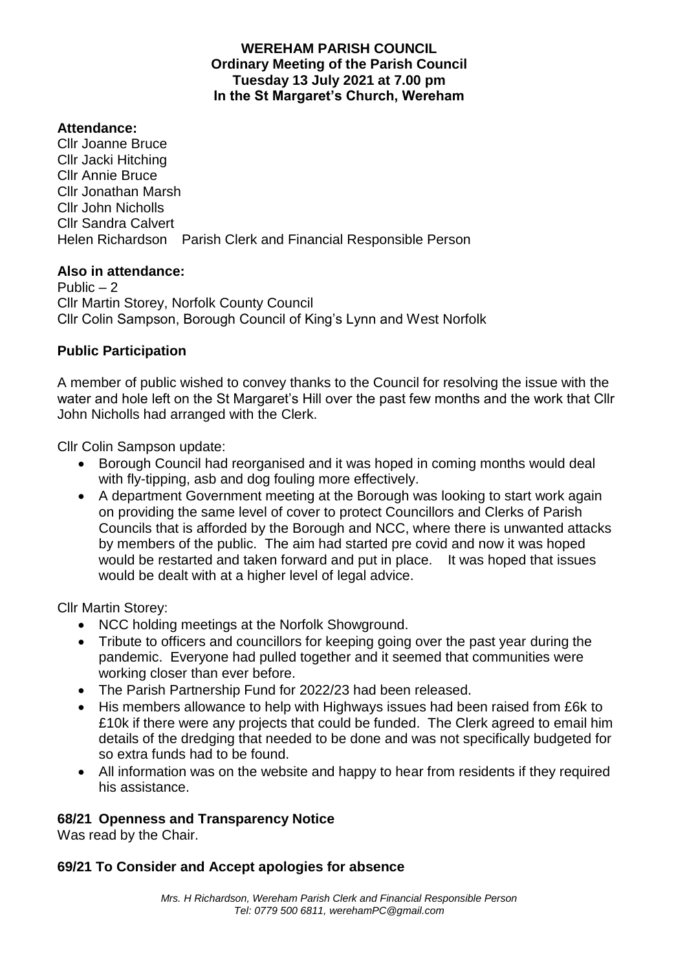### **WEREHAM PARISH COUNCIL Ordinary Meeting of the Parish Council Tuesday 13 July 2021 at 7.00 pm In the St Margaret's Church, Wereham**

#### **Attendance:**

Cllr Joanne Bruce Cllr Jacki Hitching Cllr Annie Bruce Cllr Jonathan Marsh Cllr John Nicholls Cllr Sandra Calvert Helen Richardson Parish Clerk and Financial Responsible Person

#### **Also in attendance:**

Public  $-2$ Cllr Martin Storey, Norfolk County Council Cllr Colin Sampson, Borough Council of King's Lynn and West Norfolk

#### **Public Participation**

A member of public wished to convey thanks to the Council for resolving the issue with the water and hole left on the St Margaret's Hill over the past few months and the work that Cllr John Nicholls had arranged with the Clerk.

Cllr Colin Sampson update:

- Borough Council had reorganised and it was hoped in coming months would deal with fly-tipping, asb and dog fouling more effectively.
- A department Government meeting at the Borough was looking to start work again on providing the same level of cover to protect Councillors and Clerks of Parish Councils that is afforded by the Borough and NCC, where there is unwanted attacks by members of the public. The aim had started pre covid and now it was hoped would be restarted and taken forward and put in place. It was hoped that issues would be dealt with at a higher level of legal advice.

Cllr Martin Storey:

- NCC holding meetings at the Norfolk Showground.
- Tribute to officers and councillors for keeping going over the past year during the pandemic. Everyone had pulled together and it seemed that communities were working closer than ever before.
- The Parish Partnership Fund for 2022/23 had been released.
- His members allowance to help with Highways issues had been raised from £6k to £10k if there were any projects that could be funded. The Clerk agreed to email him details of the dredging that needed to be done and was not specifically budgeted for so extra funds had to be found.
- All information was on the website and happy to hear from residents if they required his assistance.

#### **68/21 Openness and Transparency Notice**

Was read by the Chair.

#### **69/21 To Consider and Accept apologies for absence**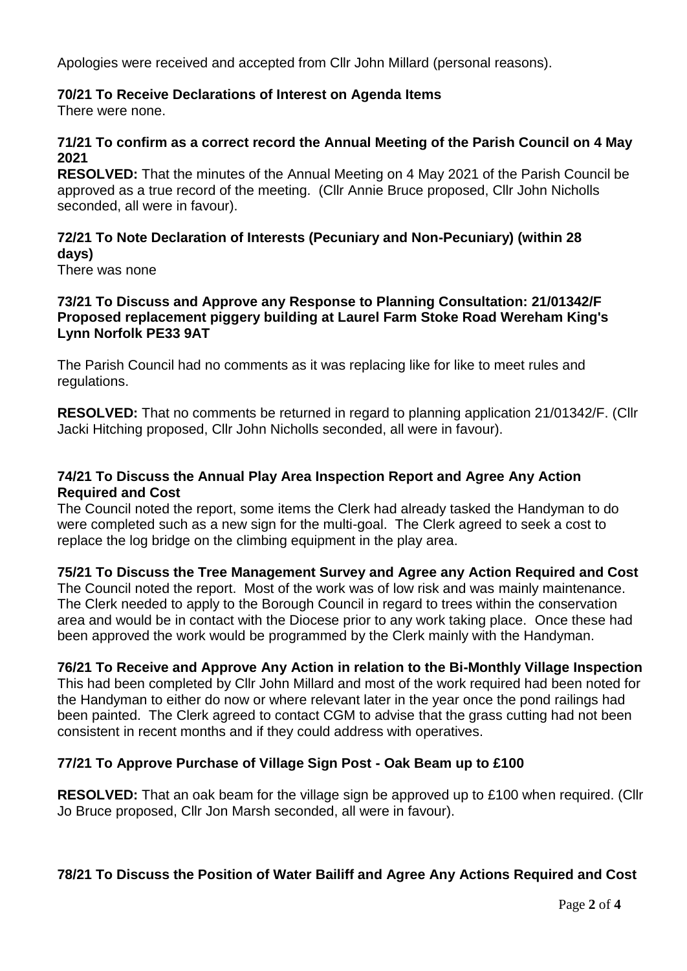Apologies were received and accepted from Cllr John Millard (personal reasons).

# **70/21 To Receive Declarations of Interest on Agenda Items**

There were none.

## **71/21 To confirm as a correct record the Annual Meeting of the Parish Council on 4 May 2021**

**RESOLVED:** That the minutes of the Annual Meeting on 4 May 2021 of the Parish Council be approved as a true record of the meeting. (Cllr Annie Bruce proposed, Cllr John Nicholls seconded, all were in favour).

# **72/21 To Note Declaration of Interests (Pecuniary and Non-Pecuniary) (within 28 days)**

There was none

#### **73/21 To Discuss and Approve any Response to Planning Consultation: 21/01342/F Proposed replacement piggery building at Laurel Farm Stoke Road Wereham King's Lynn Norfolk PE33 9AT**

The Parish Council had no comments as it was replacing like for like to meet rules and regulations.

**RESOLVED:** That no comments be returned in regard to planning application 21/01342/F. (Cllr Jacki Hitching proposed, Cllr John Nicholls seconded, all were in favour).

### **74/21 To Discuss the Annual Play Area Inspection Report and Agree Any Action Required and Cost**

The Council noted the report, some items the Clerk had already tasked the Handyman to do were completed such as a new sign for the multi-goal. The Clerk agreed to seek a cost to replace the log bridge on the climbing equipment in the play area.

# **75/21 To Discuss the Tree Management Survey and Agree any Action Required and Cost**

The Council noted the report. Most of the work was of low risk and was mainly maintenance. The Clerk needed to apply to the Borough Council in regard to trees within the conservation area and would be in contact with the Diocese prior to any work taking place. Once these had been approved the work would be programmed by the Clerk mainly with the Handyman.

#### **76/21 To Receive and Approve Any Action in relation to the Bi-Monthly Village Inspection**

This had been completed by Cllr John Millard and most of the work required had been noted for the Handyman to either do now or where relevant later in the year once the pond railings had been painted. The Clerk agreed to contact CGM to advise that the grass cutting had not been consistent in recent months and if they could address with operatives.

# **77/21 To Approve Purchase of Village Sign Post - Oak Beam up to £100**

**RESOLVED:** That an oak beam for the village sign be approved up to £100 when required. (Cllr Jo Bruce proposed, Cllr Jon Marsh seconded, all were in favour).

# **78/21 To Discuss the Position of Water Bailiff and Agree Any Actions Required and Cost**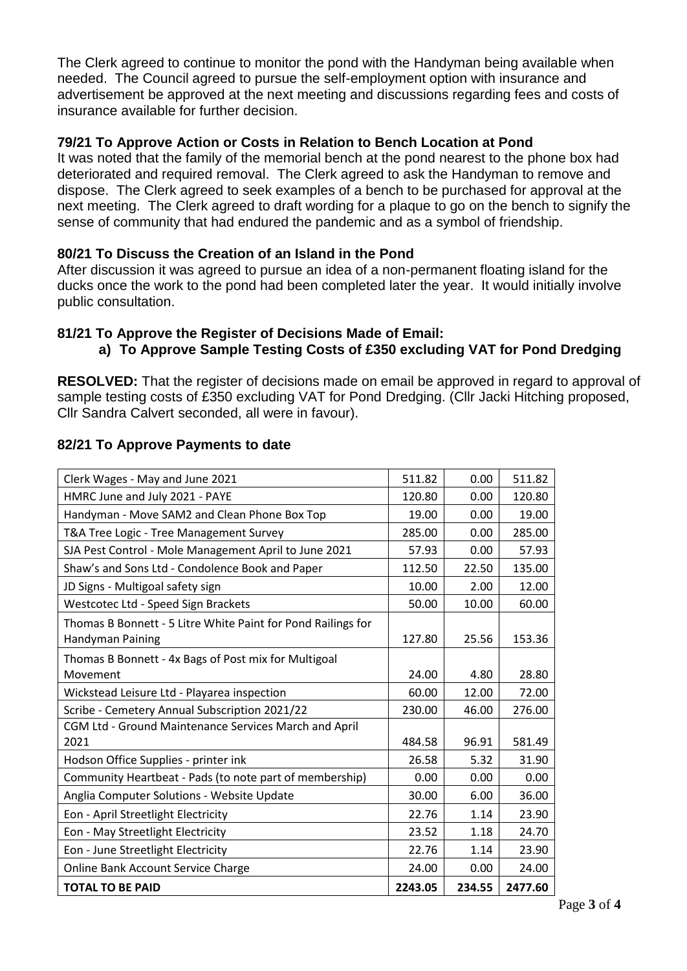The Clerk agreed to continue to monitor the pond with the Handyman being available when needed. The Council agreed to pursue the self-employment option with insurance and advertisement be approved at the next meeting and discussions regarding fees and costs of insurance available for further decision.

#### **79/21 To Approve Action or Costs in Relation to Bench Location at Pond**

It was noted that the family of the memorial bench at the pond nearest to the phone box had deteriorated and required removal. The Clerk agreed to ask the Handyman to remove and dispose. The Clerk agreed to seek examples of a bench to be purchased for approval at the next meeting. The Clerk agreed to draft wording for a plaque to go on the bench to signify the sense of community that had endured the pandemic and as a symbol of friendship.

## **80/21 To Discuss the Creation of an Island in the Pond**

After discussion it was agreed to pursue an idea of a non-permanent floating island for the ducks once the work to the pond had been completed later the year. It would initially involve public consultation.

#### **81/21 To Approve the Register of Decisions Made of Email:**

# **a) To Approve Sample Testing Costs of £350 excluding VAT for Pond Dredging**

**RESOLVED:** That the register of decisions made on email be approved in regard to approval of sample testing costs of £350 excluding VAT for Pond Dredging. (Cllr Jacki Hitching proposed, Cllr Sandra Calvert seconded, all were in favour).

## **82/21 To Approve Payments to date**

| <b>TOTAL TO BE PAID</b>                                                          | 2243.05 | 234.55 | 2477.60 |
|----------------------------------------------------------------------------------|---------|--------|---------|
| Online Bank Account Service Charge                                               | 24.00   | 0.00   | 24.00   |
| Eon - June Streetlight Electricity                                               | 22.76   | 1.14   | 23.90   |
| Eon - May Streetlight Electricity                                                | 23.52   | 1.18   | 24.70   |
| Eon - April Streetlight Electricity                                              | 22.76   | 1.14   | 23.90   |
| Anglia Computer Solutions - Website Update                                       | 30.00   | 6.00   | 36.00   |
| Community Heartbeat - Pads (to note part of membership)                          | 0.00    | 0.00   | 0.00    |
| Hodson Office Supplies - printer ink                                             | 26.58   | 5.32   | 31.90   |
| CGM Ltd - Ground Maintenance Services March and April<br>2021                    | 484.58  | 96.91  | 581.49  |
| Scribe - Cemetery Annual Subscription 2021/22                                    | 230.00  | 46.00  | 276.00  |
| Wickstead Leisure Ltd - Playarea inspection                                      | 60.00   | 12.00  | 72.00   |
| Thomas B Bonnett - 4x Bags of Post mix for Multigoal<br>Movement                 | 24.00   | 4.80   | 28.80   |
| Thomas B Bonnett - 5 Litre White Paint for Pond Railings for<br>Handyman Paining | 127.80  | 25.56  | 153.36  |
| Westcotec Ltd - Speed Sign Brackets                                              | 50.00   | 10.00  | 60.00   |
| JD Signs - Multigoal safety sign                                                 | 10.00   | 2.00   | 12.00   |
| Shaw's and Sons Ltd - Condolence Book and Paper                                  | 112.50  | 22.50  | 135.00  |
| SJA Pest Control - Mole Management April to June 2021                            | 57.93   | 0.00   | 57.93   |
| T&A Tree Logic - Tree Management Survey                                          | 285.00  | 0.00   | 285.00  |
| Handyman - Move SAM2 and Clean Phone Box Top                                     | 19.00   | 0.00   | 19.00   |
| HMRC June and July 2021 - PAYE                                                   | 120.80  | 0.00   | 120.80  |
| Clerk Wages - May and June 2021                                                  | 511.82  | 0.00   | 511.82  |